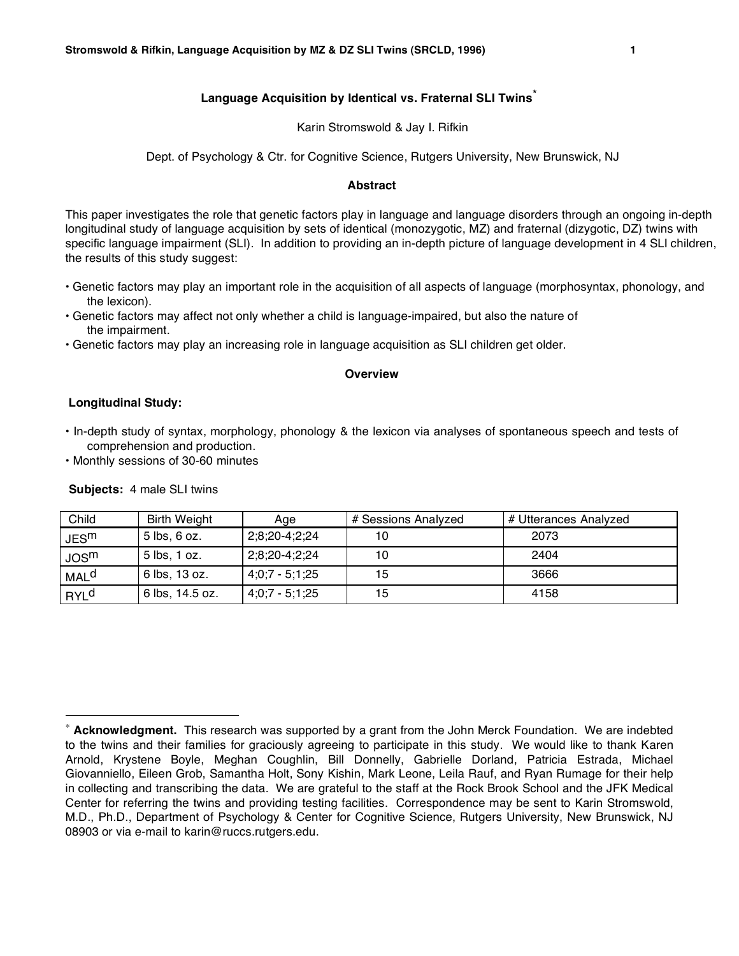### Karin Stromswold & Jay I. Rifkin

Dept. of Psychology & Ctr. for Cognitive Science, Rutgers University, New Brunswick, NJ

### **Abstract**

This paper investigates the role that genetic factors play in language and language disorders through an ongoing in-depth longitudinal study of language acquisition by sets of identical (monozygotic, MZ) and fraternal (dizygotic, DZ) twins with specific language impairment (SLI). In addition to providing an in-depth picture of language development in 4 SLI children, the results of this study suggest:

- Genetic factors may play an important role in the acquisition of all aspects of language (morphosyntax, phonology, and the lexicon).
- Genetic factors may affect not only whether a child is language-impaired, but also the nature of the impairment.
- Genetic factors may play an increasing role in language acquisition as SLI children get older.

### **Overview**

### **Longitudinal Study:**

- In-depth study of syntax, morphology, phonology & the lexicon via analyses of spontaneous speech and tests of comprehension and production.
- Monthly sessions of 30-60 minutes

**Subjects:** 4 male SLI twins

| Child                  | <b>Birth Weight</b> | Age              | # Sessions Analyzed | # Utterances Analyzed |
|------------------------|---------------------|------------------|---------------------|-----------------------|
| JES <sup>m</sup>       | $5$ lbs, $6$ oz.    | 2;8;20-4;2;24    | 10                  | 2073                  |
| JOS <sup>m</sup>       | 5 lbs, 1 oz.        | 2;8;20-4;2;24    | 10                  | 2404                  |
| <b>MAL<sup>d</sup></b> | 6 lbs, 13 oz.       | $4;0;7 - 5;1;25$ | 15                  | 3666                  |
| RYL <sup>d</sup>       | 6 lbs, 14.5 oz.     | $4:0:7 - 5:1:25$ | 15                  | 4158                  |

Acknowledgment. This research was supported by a grant from the John Merck Foundation. We are indebted to the twins and their families for graciously agreeing to participate in this study. We would like to thank Karen Arnold, Krystene Boyle, Meghan Coughlin, Bill Donnelly, Gabrielle Dorland, Patricia Estrada, Michael Giovanniello, Eileen Grob, Samantha Holt, Sony Kishin, Mark Leone, Leila Rauf, and Ryan Rumage for their help in collecting and transcribing the data. We are grateful to the staff at the Rock Brook School and the JFK Medical Center for referring the twins and providing testing facilities. Correspondence may be sent to Karin Stromswold, M.D., Ph.D., Department of Psychology & Center for Cognitive Science, Rutgers University, New Brunswick, NJ 08903 or via e-mail to karin@ruccs.rutgers.edu.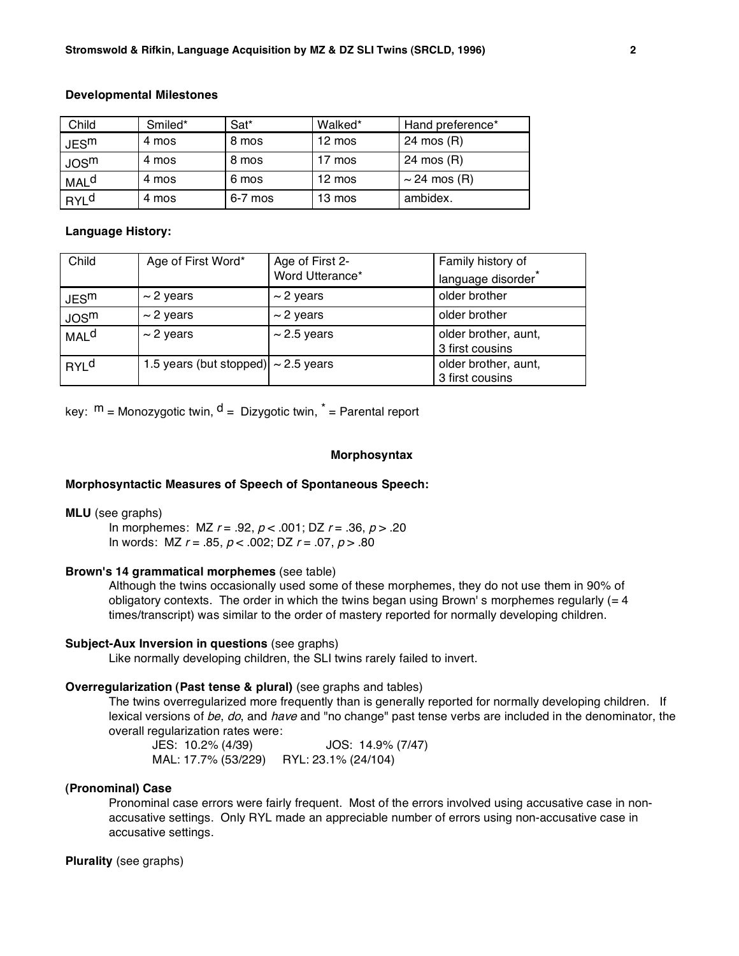### **Developmental Milestones**

| Child            | Smiled* | Sat*    | Walked*          | Hand preference*  |
|------------------|---------|---------|------------------|-------------------|
| JES <sup>m</sup> | 4 mos   | 8 mos   | $12 \text{ mos}$ | 24 mos (R)        |
| JOS <sup>m</sup> | 4 mos   | 8 mos   | 17 mos           | 24 mos (R)        |
| MAL <sup>d</sup> | 4 mos   | 6 mos   | $12 \text{ mos}$ | $\sim$ 24 mos (R) |
| RYL <sup>d</sup> | 4 mos   | 6-7 mos | 13 mos           | ambidex.          |

### **Language History:**

| Child                  | Age of First Word*                       | Age of First 2-<br>Word Utterance* | Family history of<br>language disorder  |
|------------------------|------------------------------------------|------------------------------------|-----------------------------------------|
| JES <sup>m</sup>       | $\sim$ 2 years                           | $\sim$ 2 years                     | older brother                           |
| JOS <sup>m</sup>       | $\sim$ 2 years                           | $\sim$ 2 years                     | older brother                           |
| <b>MAL<sup>d</sup></b> | $\sim$ 2 years                           | $\sim$ 2.5 years                   | older brother, aunt,<br>3 first cousins |
| <b>RYL<sup>d</sup></b> | 1.5 years (but stopped) $\sim$ 2.5 years |                                    | older brother, aunt,<br>3 first cousins |

key:  $m =$  Monozygotic twin,  $d =$  Dizygotic twin,  $\vec{r} =$  Parental report

### **Morphosyntax**

### **Morphosyntactic Measures of Speech of Spontaneous Speech:**

#### **MLU** (see graphs)

In morphemes:  $MZ r = .92, p < .001$ ;  $DZ r = .36, p > .20$ In words: MZ  $r = .85$ ,  $p < .002$ ; DZ  $r = .07$ ,  $p > .80$ 

## **Brown's 14 grammatical morphemes** (see table)

Although the twins occasionally used some of these morphemes, they do not use them in 90% of obligatory contexts. The order in which the twins began using Brown's morphemes regularly  $(= 4)$ times/transcript) was similar to the order of mastery reported for normally developing children.

### **Subject-Aux Inversion in questions** (see graphs)

Like normally developing children, the SLI twins rarely failed to invert.

### **Overregularization (Past tense & plural)** (see graphs and tables)

The twins overregularized more frequently than is generally reported for normally developing children. If lexical versions of be, do, and have and "no change" past tense verbs are included in the denominator, the overall regularization rates were:

JES: 10.2% (4/39) JOS: 14.9% (7/47) MAL: 17.7% (53/229) RYL: 23.1% (24/104)

### **(Pronominal) Case**

Pronominal case errors were fairly frequent. Most of the errors involved using accusative case in nonaccusative settings. Only RYL made an appreciable number of errors using non-accusative case in accusative settings.

# **Plurality** (see graphs)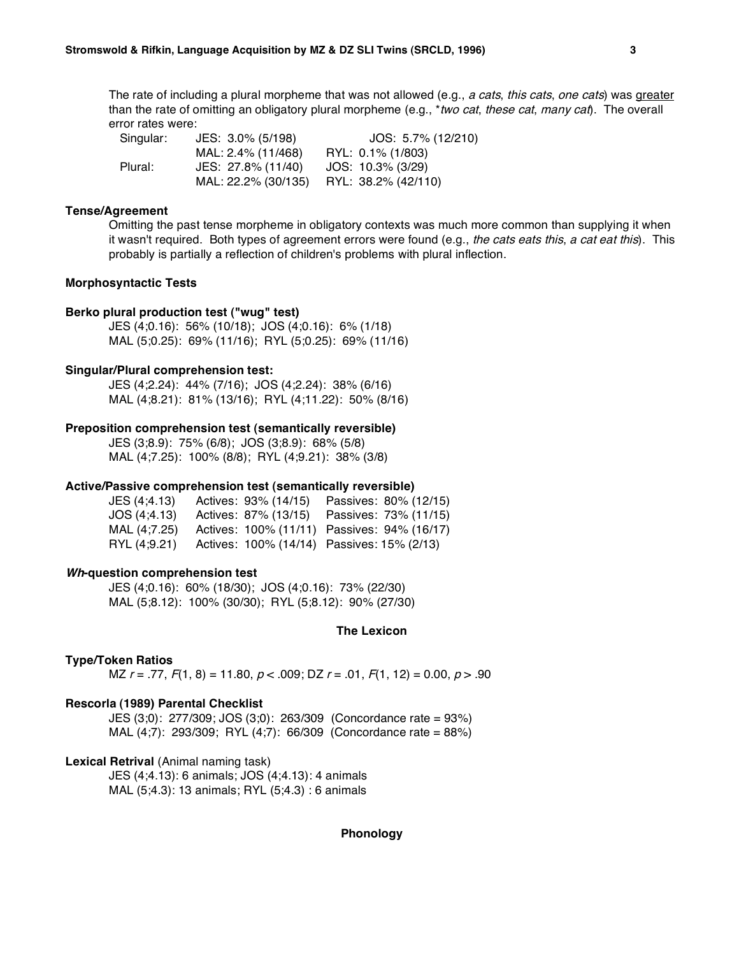The rate of including a plural morpheme that was not allowed (e.g., a cats, this cats, one cats) was greater than the rate of omitting an obligatory plural morpheme (e.g., *\*two cat, these cat, many cat*). The overall error rates were:

Singular: JES: 3.0% (5/198) JOS: 5.7% (12/210) MAL: 2.4% (11/468) RYL: 0.1% (1/803) Plural: JES: 27.8% (11/40) JOS: 10.3% (3/29) MAL: 22.2% (30/135) RYL: 38.2% (42/110)

### **Tense/Agreement**

Omitting the past tense morpheme in obligatory contexts was much more common than supplying it when it wasn't required. Both types of agreement errors were found (e.g., the cats eats this, a cat eat this). This probably is partially a reflection of children's problems with plural inflection.

### **Morphosyntactic Tests**

### **Berko plural production test ("wug" test)**

JES (4;0.16): 56% (10/18); JOS (4;0.16): 6% (1/18) MAL (5;0.25): 69% (11/16); RYL (5;0.25): 69% (11/16)

### **Singular/Plural comprehension test:**

JES (4;2.24): 44% (7/16); JOS (4;2.24): 38% (6/16) MAL (4;8.21): 81% (13/16); RYL (4;11.22): 50% (8/16)

#### **Preposition comprehension test (semantically reversible)**

JES (3;8.9): 75% (6/8); JOS (3;8.9): 68% (5/8) MAL (4;7.25): 100% (8/8); RYL (4;9.21): 38% (3/8)

#### **Active/Passive comprehension test (semantically reversible)**

| JES (4;4.13) | Actives: 93% (14/15)                        | Passives: 80% (12/15) |
|--------------|---------------------------------------------|-----------------------|
| JOS (4:4.13) | Actives: 87% (13/15)                        | Passives: 73% (11/15) |
| MAL (4:7.25) | Actives: 100% (11/11) Passives: 94% (16/17) |                       |
| RYL (4:9.21) | Actives: 100% (14/14) Passives: 15% (2/13)  |                       |

#### **Wh-question comprehension test**

JES (4;0.16): 60% (18/30); JOS (4;0.16): 73% (22/30) MAL (5;8.12): 100% (30/30); RYL (5;8.12): 90% (27/30)

## **The Lexicon**

#### **Type/Token Ratios**

MZ  $r = .77, F(1, 8) = 11.80, p < .009$ ; DZ  $r = .01, F(1, 12) = 0.00, p > .90$ 

#### **Rescorla (1989) Parental Checklist**

JES (3;0): 277/309; JOS (3;0): 263/309 (Concordance rate = 93%) MAL (4;7): 293/309; RYL (4;7): 66/309 (Concordance rate = 88%)

#### **Lexical Retrival** (Animal naming task)

JES (4;4.13): 6 animals; JOS (4;4.13): 4 animals MAL (5;4.3): 13 animals; RYL (5;4.3) : 6 animals

#### **Phonology**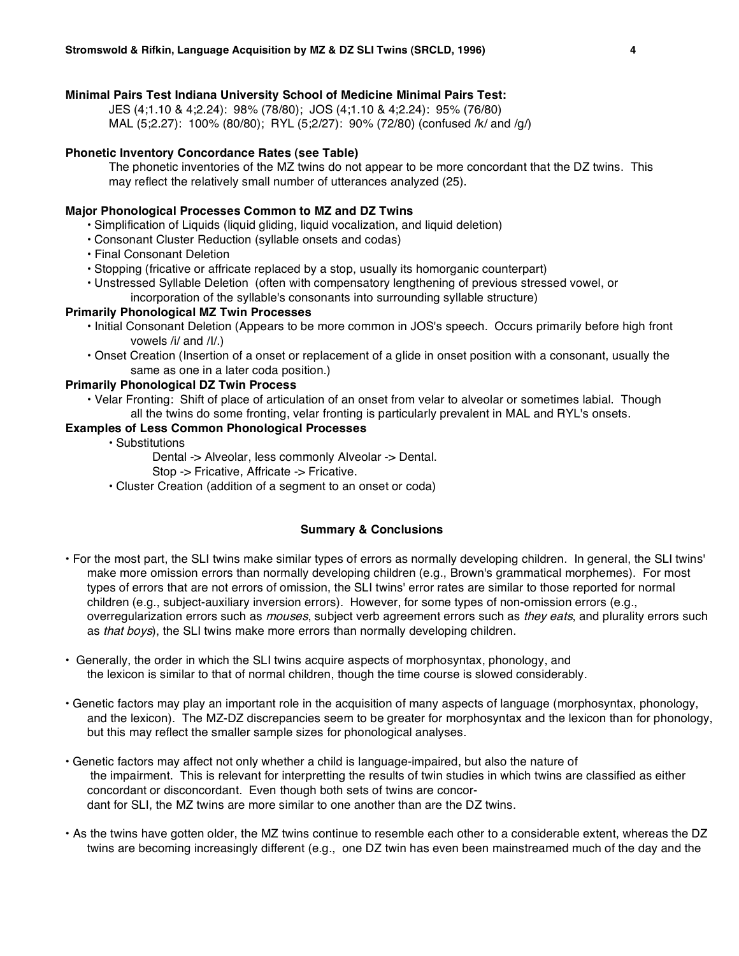# **Minimal Pairs Test Indiana University School of Medicine Minimal Pairs Test:**

JES (4;1.10 & 4;2.24): 98% (78/80); JOS (4;1.10 & 4;2.24): 95% (76/80) MAL (5;2.27): 100% (80/80); RYL (5;2/27): 90% (72/80) (confused /k/ and /g/)

## **Phonetic Inventory Concordance Rates (see Table)**

The phonetic inventories of the MZ twins do not appear to be more concordant that the DZ twins. This may reflect the relatively small number of utterances analyzed (25).

# **Major Phonological Processes Common to MZ and DZ Twins**

- Simplification of Liquids (liquid gliding, liquid vocalization, and liquid deletion)
- Consonant Cluster Reduction (syllable onsets and codas)
- Final Consonant Deletion
- Stopping (fricative or affricate replaced by a stop, usually its homorganic counterpart)
- Unstressed Syllable Deletion (often with compensatory lengthening of previous stressed vowel, or incorporation of the syllable's consonants into surrounding syllable structure)

## **Primarily Phonological MZ Twin Processes**

- Initial Consonant Deletion (Appears to be more common in JOS's speech. Occurs primarily before high front vowels /i/ and /I/.)
- Onset Creation (Insertion of a onset or replacement of a glide in onset position with a consonant, usually the same as one in a later coda position.)

# **Primarily Phonological DZ Twin Process**

• Velar Fronting: Shift of place of articulation of an onset from velar to alveolar or sometimes labial. Though all the twins do some fronting, velar fronting is particularly prevalent in MAL and RYL's onsets.

# **Examples of Less Common Phonological Processes**

- Substitutions
	- Dental -> Alveolar, less commonly Alveolar -> Dental.
	- Stop -> Fricative, Affricate -> Fricative.
- Cluster Creation (addition of a segment to an onset or coda)

## **Summary & Conclusions**

- For the most part, the SLI twins make similar types of errors as normally developing children. In general, the SLI twins' make more omission errors than normally developing children (e.g., Brown's grammatical morphemes). For most types of errors that are not errors of omission, the SLI twins' error rates are similar to those reported for normal children (e.g., subject-auxiliary inversion errors). However, for some types of non-omission errors (e.g., overregularization errors such as *mouses*, subject verb agreement errors such as they eats, and plurality errors such as that boys), the SLI twins make more errors than normally developing children.
- Generally, the order in which the SLI twins acquire aspects of morphosyntax, phonology, and the lexicon is similar to that of normal children, though the time course is slowed considerably.
- Genetic factors may play an important role in the acquisition of many aspects of language (morphosyntax, phonology, and the lexicon). The MZ-DZ discrepancies seem to be greater for morphosyntax and the lexicon than for phonology, but this may reflect the smaller sample sizes for phonological analyses.
- Genetic factors may affect not only whether a child is language-impaired, but also the nature of the impairment. This is relevant for interpretting the results of twin studies in which twins are classified as either concordant or disconcordant. Even though both sets of twins are concordant for SLI, the MZ twins are more similar to one another than are the DZ twins.
- As the twins have gotten older, the MZ twins continue to resemble each other to a considerable extent, whereas the DZ twins are becoming increasingly different (e.g., one DZ twin has even been mainstreamed much of the day and the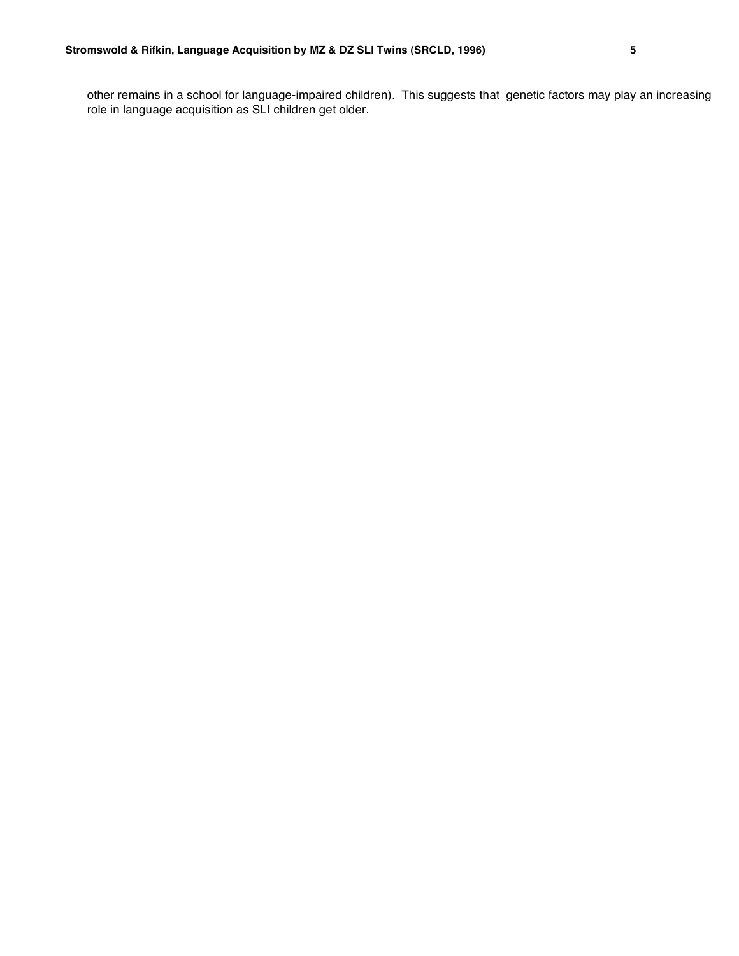other remains in a school for language-impaired children). This suggests that genetic factors may play an increasing role in language acquisition as SLI children get older.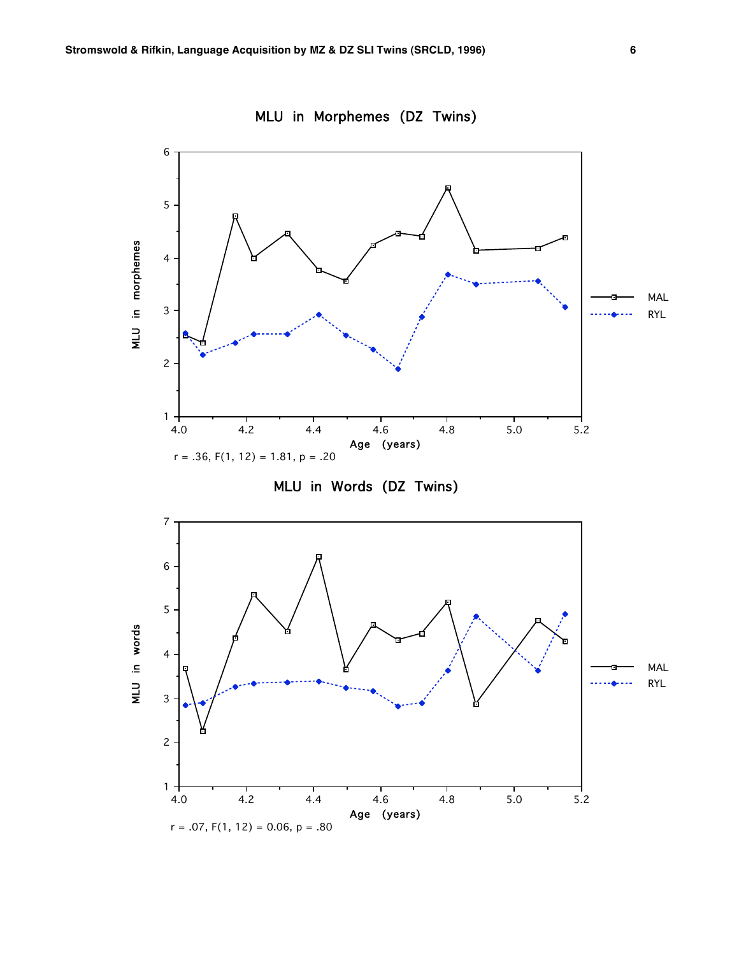

MLU in Morphemes (DZ Twins)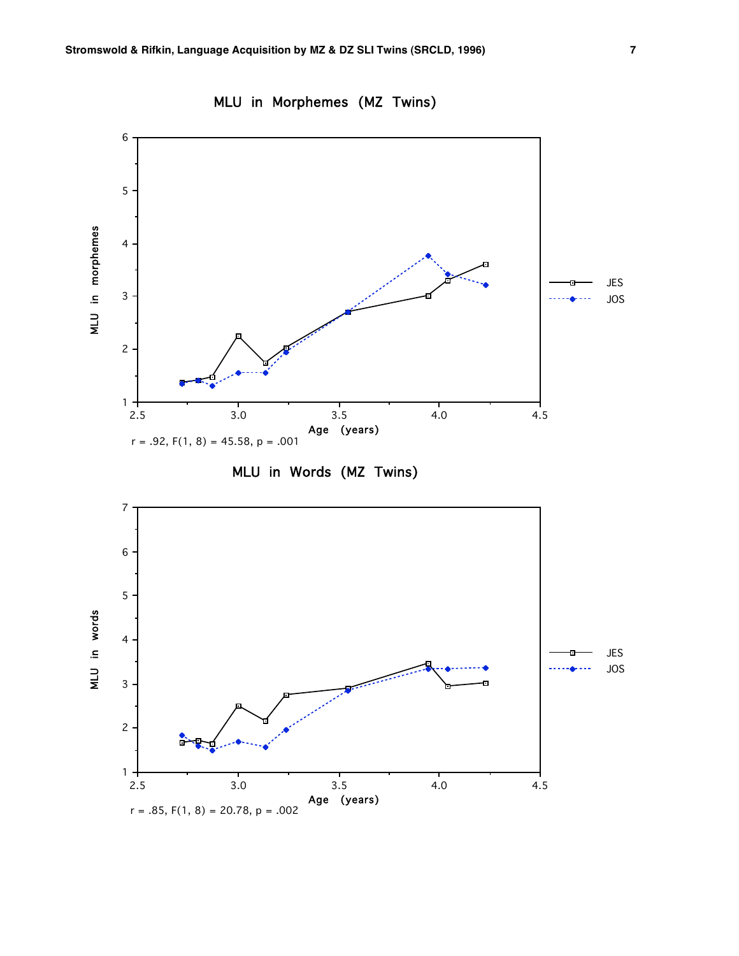$r = .85, F(1, 8) = 20.78, p = .002$ 



MLU in Morphemes (MZ Twins)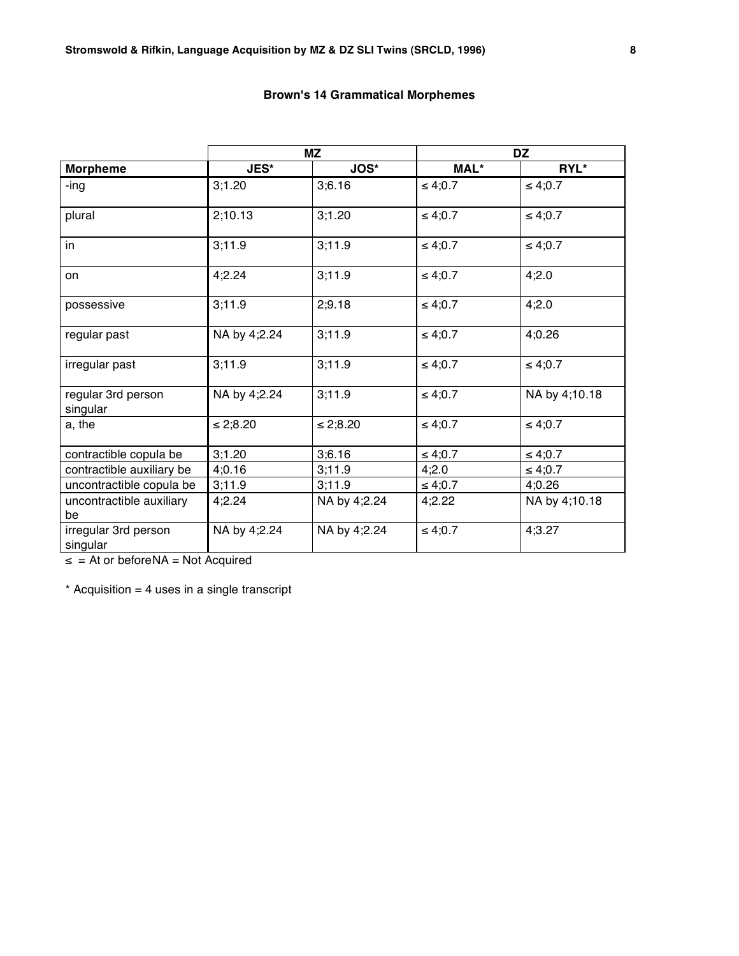|  |  | <b>Brown's 14 Grammatical Morphemes</b> |  |  |
|--|--|-----------------------------------------|--|--|
|--|--|-----------------------------------------|--|--|

|                                  |               | ΜZ            | <b>DZ</b>    |               |  |
|----------------------------------|---------------|---------------|--------------|---------------|--|
| <b>Morpheme</b>                  | <b>JES*</b>   | <b>JOS*</b>   | MAL*         | RYL*          |  |
| -ing                             | 3;1.20        | 3;6.16        | $\leq 4;0.7$ | ≤ 4;0.7       |  |
| plural                           | 2;10.13       | 3;1.20        | $\leq 4;0.7$ | $\leq 4;0.7$  |  |
| in                               | 3;11.9        | 3;11.9        | $\leq 4;0.7$ | $\leq 4;0.7$  |  |
| on                               | 4;2.24        | 3;11.9        | $\leq 4;0.7$ | 4;2.0         |  |
| possessive                       | 3;11.9        | 2;9.18        | $\leq 4;0.7$ | 4;2.0         |  |
| regular past                     | NA by 4;2.24  | 3;11.9        | $\leq 4;0.7$ | 4;0.26        |  |
| irregular past                   | 3;11.9        | 3,11.9        | $\leq 4;0.7$ | $\leq 4;0.7$  |  |
| regular 3rd person<br>singular   | NA by 4;2.24  | 3;11.9        | $\leq 4;0.7$ | NA by 4;10.18 |  |
| a, the                           | $\leq 2;8.20$ | $\leq 2;8.20$ | $\leq 4;0.7$ | $\leq 4;0.7$  |  |
| contractible copula be           | 3;1.20        | 3;6.16        | $\leq 4,0.7$ | ≤ 4;0.7       |  |
| contractible auxiliary be        | 4;0.16        | 3,11.9        | 4;2.0        | ≤ 4;0.7       |  |
| uncontractible copula be         | 3;11.9        | 3;11.9        | $\leq 4,0.7$ | 4;0.26        |  |
| uncontractible auxiliary<br>be   | 4;2.24        | NA by 4;2.24  | 4;2.22       | NA by 4;10.18 |  |
| irregular 3rd person<br>singular | NA by 4;2.24  | NA by 4;2.24  | $\leq 4;0.7$ | 4;3.27        |  |

≤ = At or beforeNA = Not Acquired

 $*$  Acquisition = 4 uses in a single transcript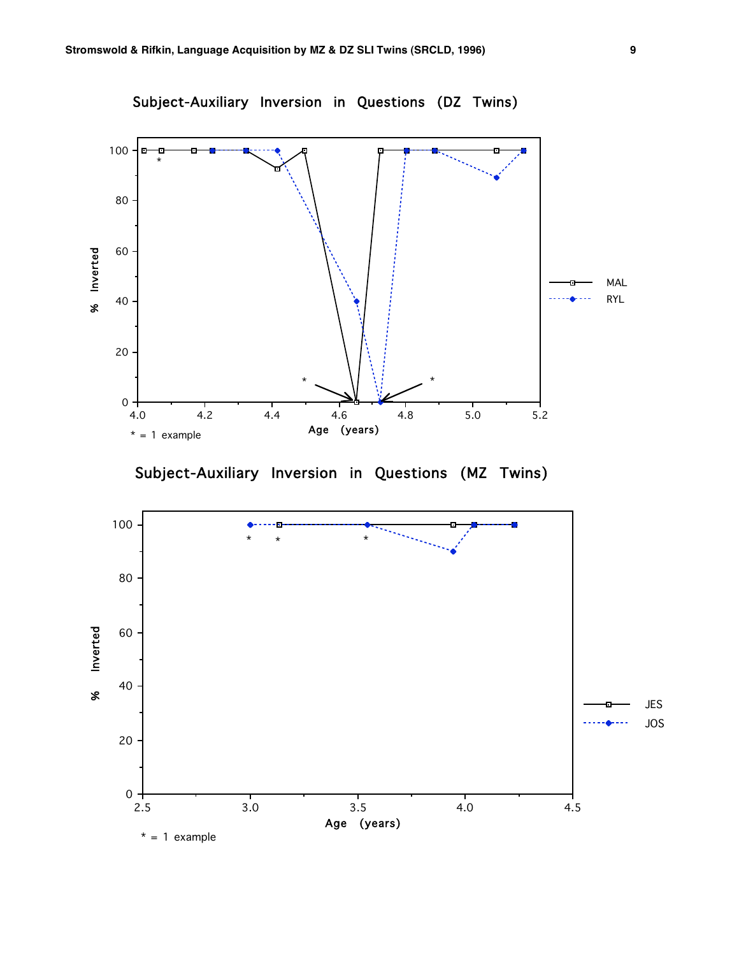

Subject-Auxiliary Inversion in Questions (MZ Twins)

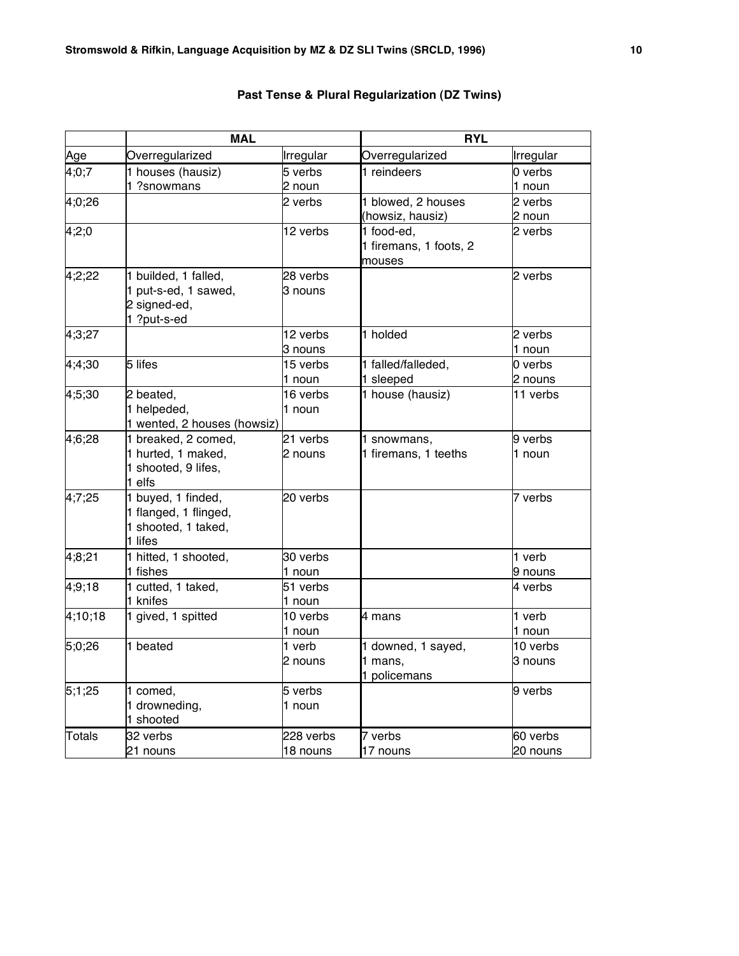|               | <b>MAL</b>                                 |           | <b>RYL</b>                           |           |
|---------------|--------------------------------------------|-----------|--------------------------------------|-----------|
| Age           | Overregularized                            | Irregular | Overregularized                      | Irregular |
| 4;0;7         | 1 houses (hausiz)                          | 5 verbs   | 1 reindeers                          | 0 verbs   |
|               | 1 ?snowmans                                | 2 noun    |                                      | 1 noun    |
| 4;0;26        |                                            | 2 verbs   | 1 blowed, 2 houses                   | 2 verbs   |
|               |                                            |           | (howsiz, hausiz)                     | 2 noun    |
| 4;2;0         |                                            | 12 verbs  | 1 food-ed,<br>1 firemans, 1 foots, 2 | 2 verbs   |
|               |                                            |           | mouses                               |           |
| 4;2;22        | 1 builded, 1 falled,                       | 28 verbs  |                                      | 2 verbs   |
|               | 1 put-s-ed, 1 sawed,                       | 3 nouns   |                                      |           |
|               | 2 signed-ed,                               |           |                                      |           |
|               | 1 ?put-s-ed                                |           |                                      |           |
| 4;3;27        |                                            | 12 verbs  | 1 holded                             | 2 verbs   |
|               |                                            | 3 nouns   |                                      | 1 noun    |
| 4;4;30        | 5 lifes                                    | 15 verbs  | 1 falled/falleded,                   | 0 verbs   |
|               |                                            | 1 noun    | 1 sleeped                            | 2 nouns   |
| 4;5;30        | 2 beated,                                  | 16 verbs  | 1 house (hausiz)                     | 11 verbs  |
|               | 1 helpeded,<br>1 wented, 2 houses (howsiz) | 1 noun    |                                      |           |
| 4;6;28        | 1 breaked, 2 comed,                        | 21 verbs  | 1 snowmans,                          | 9 verbs   |
|               | 1 hurted, 1 maked,                         | 2 nouns   | 1 firemans, 1 teeths                 | 1 noun    |
|               | 1 shooted, 9 lifes,                        |           |                                      |           |
|               | 1 elfs                                     |           |                                      |           |
| 4;7;25        | 1 buyed, 1 finded,                         | 20 verbs  |                                      | 7 verbs   |
|               | 1 flanged, 1 flinged,                      |           |                                      |           |
|               | 1 shooted, 1 taked,                        |           |                                      |           |
|               | 1 lifes                                    |           |                                      |           |
| 4;8;21        | 1 hitted, 1 shooted,                       | 30 verbs  |                                      | 1 verb    |
|               | 1 fishes                                   | 1 noun    |                                      | 9 nouns   |
| 4;9;18        | 1 cutted, 1 taked,                         | 51 verbs  |                                      | 4 verbs   |
|               | 1 knifes                                   | 1 noun    |                                      |           |
| 4;10;18       | 1 gived, 1 spitted                         | 10 verbs  | 4 mans                               | 1 verb    |
|               |                                            | 1 noun    |                                      | 1 noun    |
| 5;0;26        | 1 beated                                   | 1 verb    | 1 downed, 1 sayed,                   | 10 verbs  |
|               |                                            | 2 nouns   | 1 mans,                              | 3 nouns   |
|               |                                            |           | 1 policemans                         |           |
| 5;1;25        | 1 comed,                                   | 5 verbs   |                                      | 9 verbs   |
|               | 1 drowneding,                              | 1 noun    |                                      |           |
|               | 1 shooted                                  |           |                                      |           |
| <b>Totals</b> | 32 verbs                                   | 228 verbs | 7 verbs                              | 60 verbs  |
|               | 21 nouns                                   | 18 nouns  | 17 nouns                             | 20 nouns  |

# **Past Tense & Plural Regularization (DZ Twins)**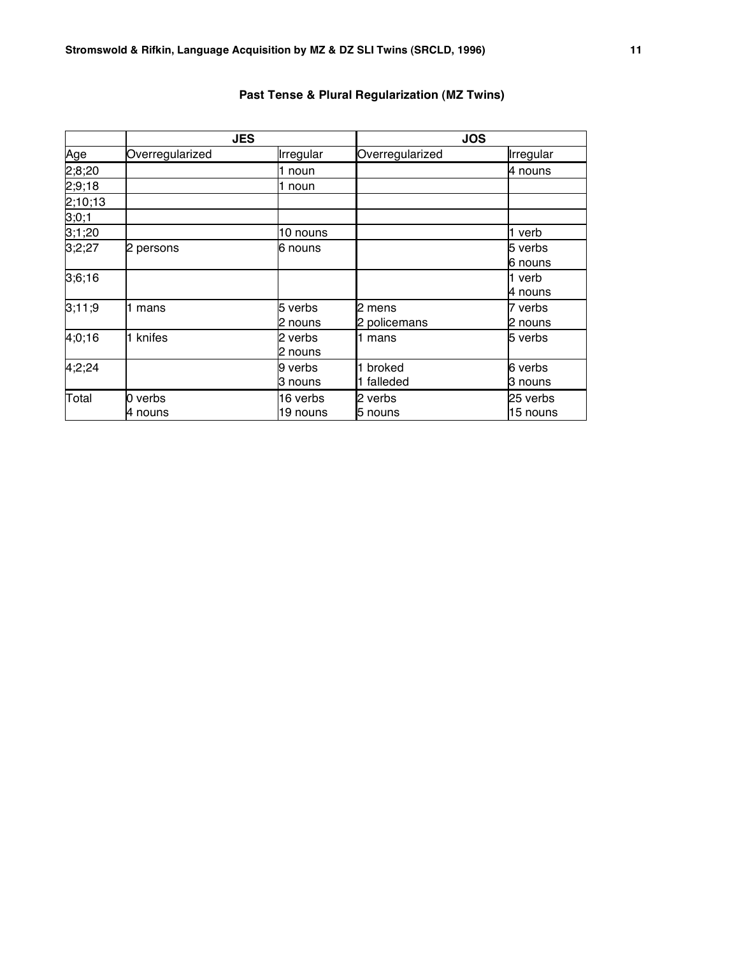|         | <b>JES</b>      |           |                 | <b>JOS</b> |  |  |
|---------|-----------------|-----------|-----------------|------------|--|--|
| Age     | Overregularized | Irregular | Overregularized | Irregular  |  |  |
| 2;8;20  |                 | 1 noun    |                 | 4 nouns    |  |  |
| 2;9;18  |                 | 1 noun    |                 |            |  |  |
| 2;10;13 |                 |           |                 |            |  |  |
| 3;0;1   |                 |           |                 |            |  |  |
| 3;1;20  |                 | 10 nouns  |                 | l1 verb    |  |  |
| 3;2;27  | 2 persons       | 6 nouns   |                 | 5 verbs    |  |  |
|         |                 |           |                 | 6 nouns    |  |  |
| 3;6;16  |                 |           |                 | 1 verb     |  |  |
|         |                 |           |                 | 4 nouns    |  |  |
| 3:11:9  | mans            | 5 verbs   | 2 mens          | 7 verbs    |  |  |
|         |                 | 2 nouns   | 2 policemans    | 2 nouns    |  |  |
| 4;0;16  | 1 knifes        | 2 verbs   | 1 mans          | 5 verbs    |  |  |
|         |                 | 2 nouns   |                 |            |  |  |
| 4;2;24  |                 | 9 verbs   | broked          | 6 verbs    |  |  |
|         |                 | ß nouns   | 1 falleded      | 3 nouns    |  |  |
| Total   | 0 verbs         | 16 verbs  | 2 verbs         | 25 verbs   |  |  |
|         | 4 nouns         | 19 nouns  | 5 nouns         | 15 nouns   |  |  |

# **Past Tense & Plural Regularization (MZ Twins)**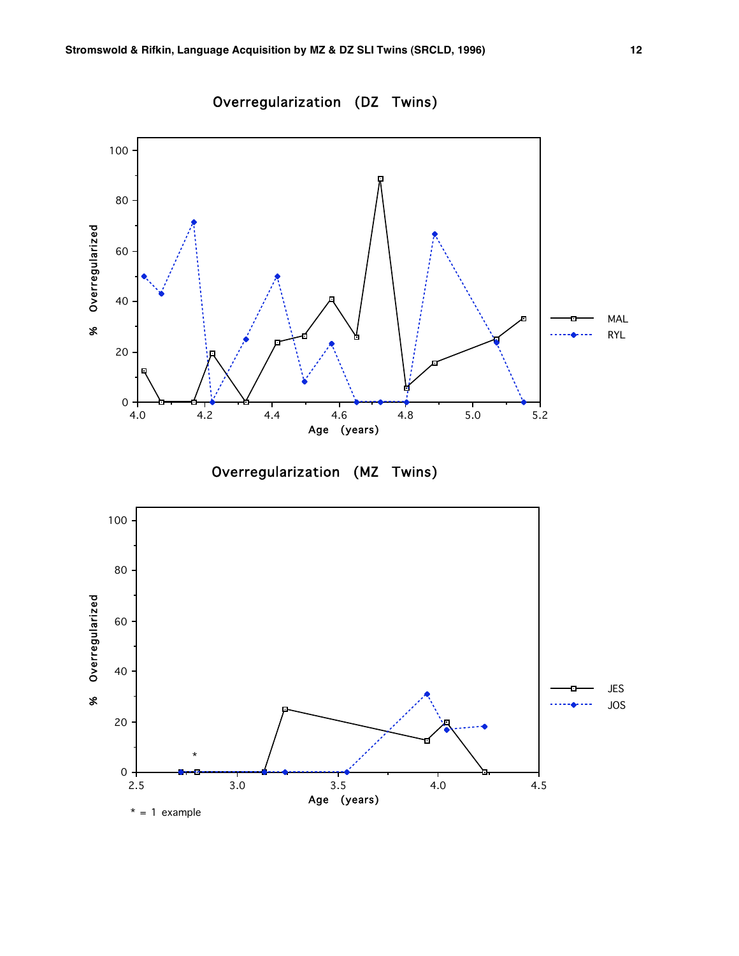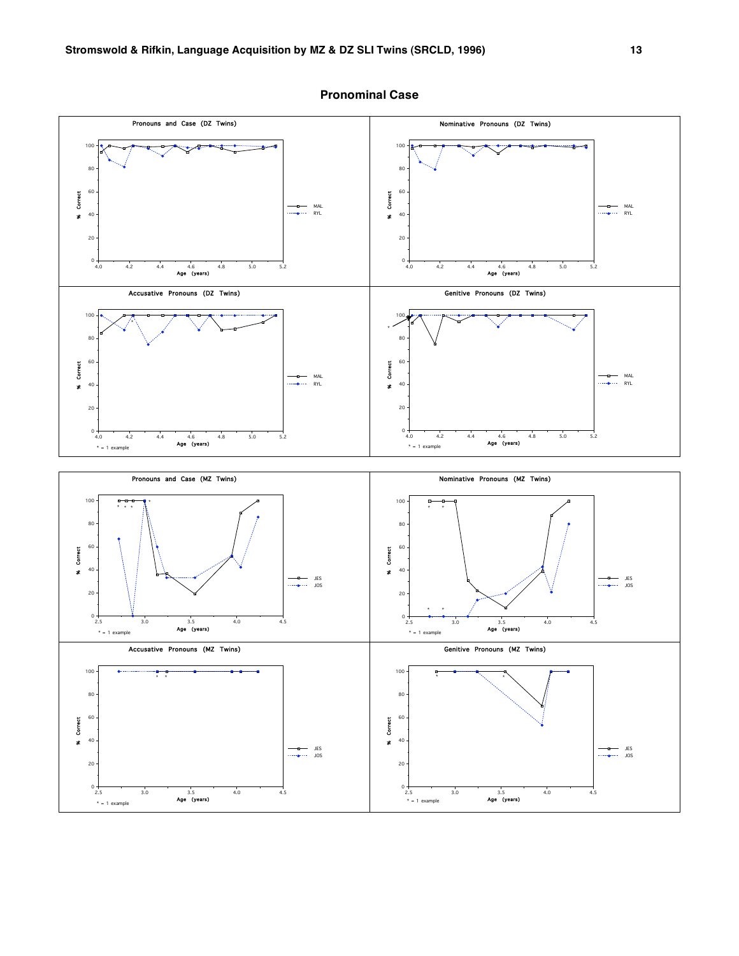

### **Pronominal Case**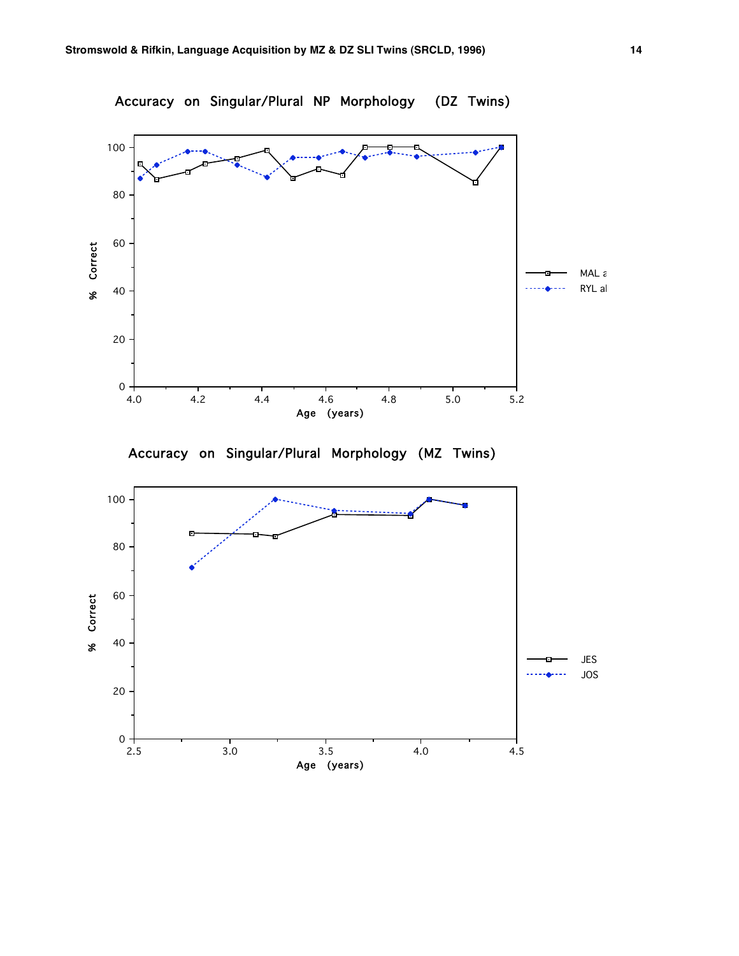

Accuracy on Singular/Plural Morphology (MZ Twins)

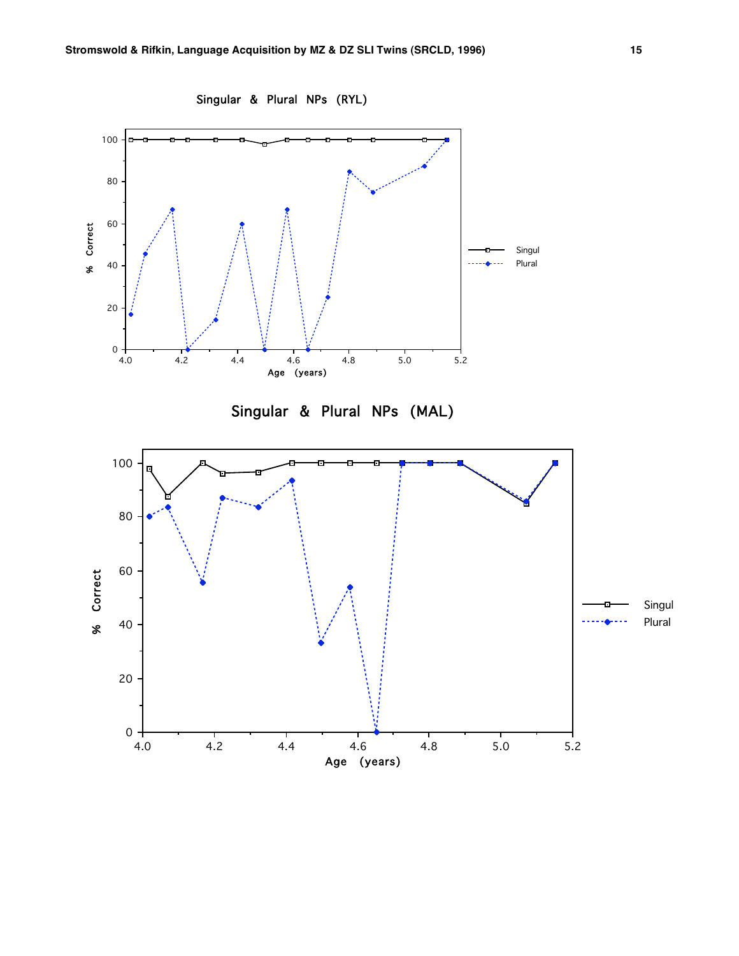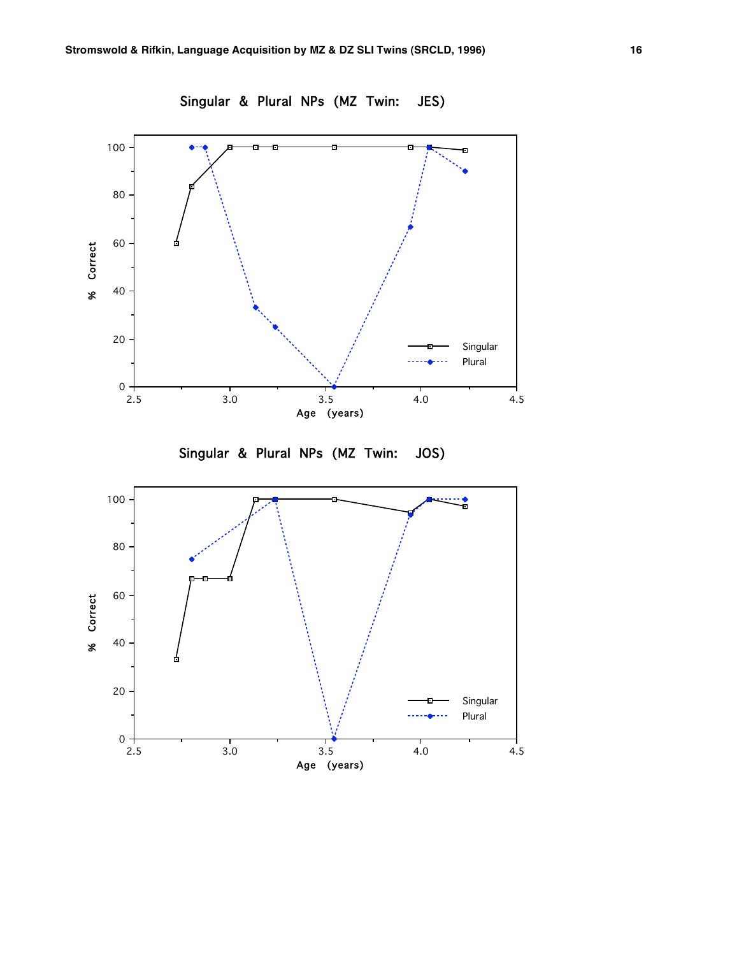